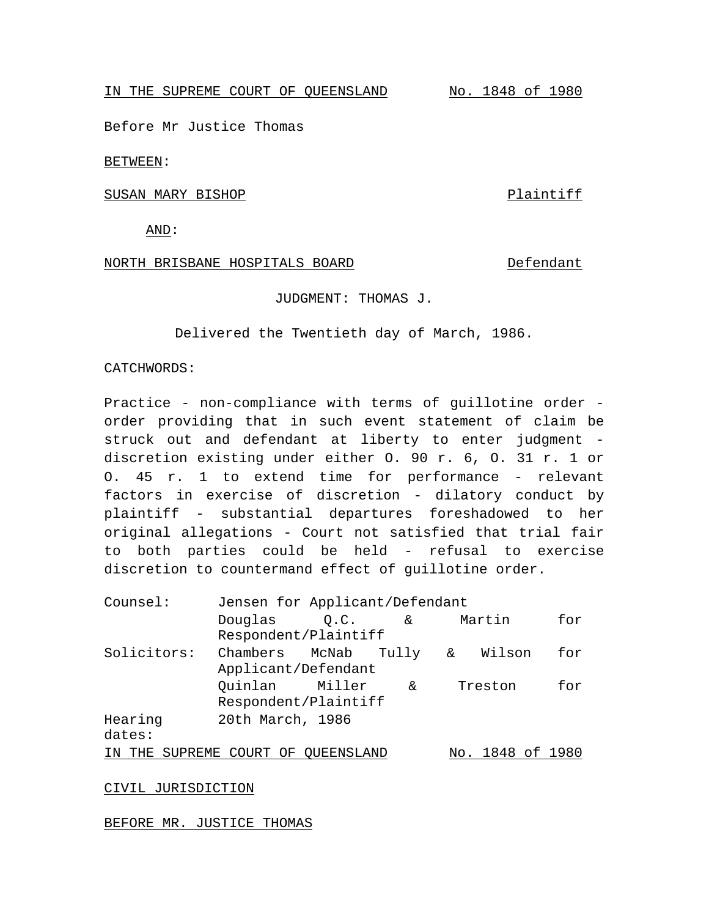IN THE SUPREME COURT OF QUEENSLAND No. 1848 of 1980

Before Mr Justice Thomas

BETWEEN:

SUSAN MARY BISHOP PLAINTIFF

AND:

## NORTH BRISBANE HOSPITALS BOARD DEFendant

JUDGMENT: THOMAS J.

Delivered the Twentieth day of March, 1986.

## CATCHWORDS:

Practice - non-compliance with terms of guillotine order order providing that in such event statement of claim be struck out and defendant at liberty to enter judgment discretion existing under either O. 90 r. 6, O. 31 r. 1 or O. 45 r. 1 to extend time for performance - relevant factors in exercise of discretion - dilatory conduct by plaintiff - substantial departures foreshadowed to her original allegations - Court not satisfied that trial fair to both parties could be held - refusal to exercise discretion to countermand effect of guillotine order.

| Counsel:    | Jensen for Applicant/Defendant |  |    |     |              |     |
|-------------|--------------------------------|--|----|-----|--------------|-----|
|             | Douglas $Q.C.$ &               |  |    |     | Martin       | for |
|             | Respondent/Plaintiff           |  |    |     |              |     |
| Solicitors: | Chambers McNab Tully &         |  |    |     | Wilson       | for |
|             | Applicant/Defendant            |  |    |     |              |     |
|             | Ouinlan Miller                 |  | δ£ |     | Treston      | for |
|             | Respondent/Plaintiff           |  |    |     |              |     |
| Hearing     | 20th March, 1986               |  |    |     |              |     |
| dates:      |                                |  |    |     |              |     |
| THE<br>TN   | SUPREME COURT OF OUEENSLAND    |  |    | No. | 1848 of 1980 |     |

CIVIL JURISDICTION

BEFORE MR. JUSTICE THOMAS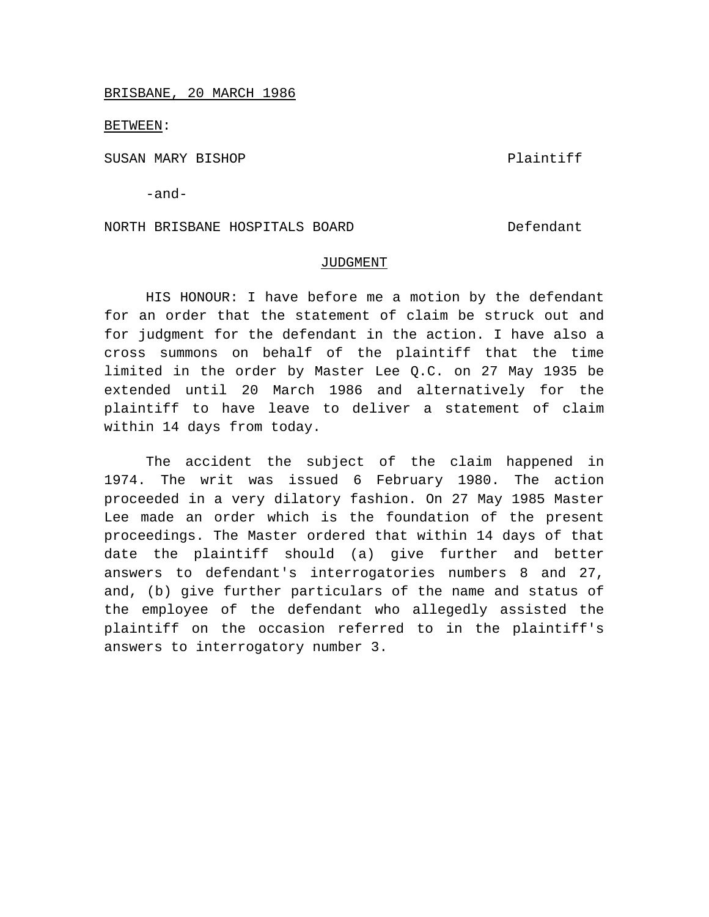BRISBANE, 20 MARCH 1986

BETWEEN:

SUSAN MARY BISHOP PLAINTIFF

-and-

NORTH BRISBANE HOSPITALS BOARD Defendant

## JUDGMENT

HIS HONOUR: I have before me a motion by the defendant for an order that the statement of claim be struck out and for judgment for the defendant in the action. I have also a cross summons on behalf of the plaintiff that the time limited in the order by Master Lee Q.C. on 27 May 1935 be extended until 20 March 1986 and alternatively for the plaintiff to have leave to deliver a statement of claim within 14 days from today.

The accident the subject of the claim happened in 1974. The writ was issued 6 February 1980. The action proceeded in a very dilatory fashion. On 27 May 1985 Master Lee made an order which is the foundation of the present proceedings. The Master ordered that within 14 days of that date the plaintiff should (a) give further and better answers to defendant's interrogatories numbers 8 and 27, and, (b) give further particulars of the name and status of the employee of the defendant who allegedly assisted the plaintiff on the occasion referred to in the plaintiff's answers to interrogatory number 3.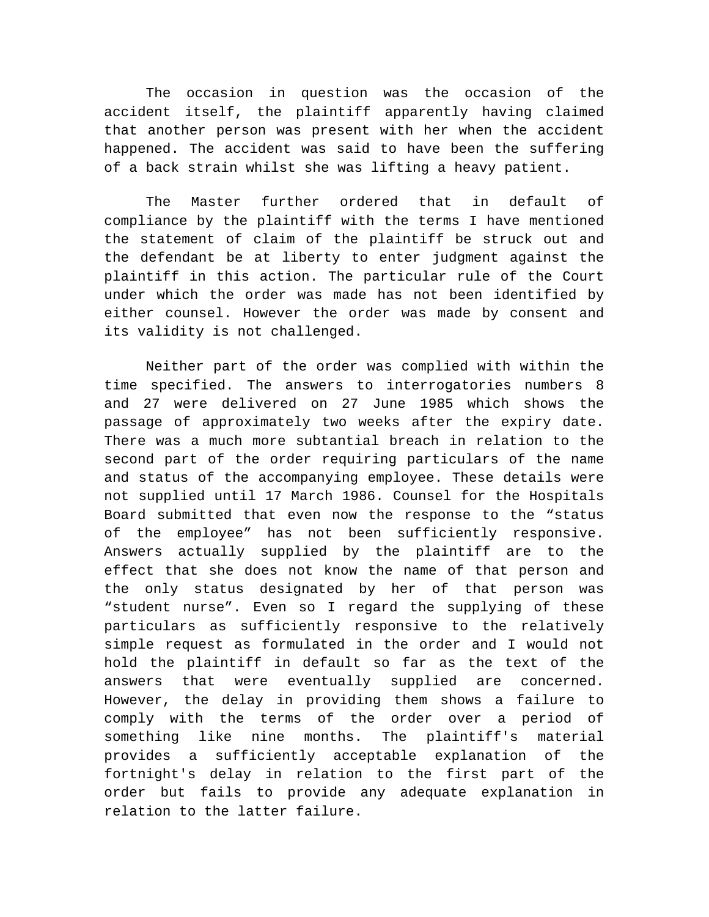The occasion in question was the occasion of the accident itself, the plaintiff apparently having claimed that another person was present with her when the accident happened. The accident was said to have been the suffering of a back strain whilst she was lifting a heavy patient.

The Master further ordered that in default of compliance by the plaintiff with the terms I have mentioned the statement of claim of the plaintiff be struck out and the defendant be at liberty to enter judgment against the plaintiff in this action. The particular rule of the Court under which the order was made has not been identified by either counsel. However the order was made by consent and its validity is not challenged.

Neither part of the order was complied with within the time specified. The answers to interrogatories numbers 8 and 27 were delivered on 27 June 1985 which shows the passage of approximately two weeks after the expiry date. There was a much more subtantial breach in relation to the second part of the order requiring particulars of the name and status of the accompanying employee. These details were not supplied until 17 March 1986. Counsel for the Hospitals Board submitted that even now the response to the "status of the employee" has not been sufficiently responsive. Answers actually supplied by the plaintiff are to the effect that she does not know the name of that person and the only status designated by her of that person was "student nurse". Even so I regard the supplying of these particulars as sufficiently responsive to the relatively simple request as formulated in the order and I would not hold the plaintiff in default so far as the text of the answers that were eventually supplied are concerned. However, the delay in providing them shows a failure to comply with the terms of the order over a period of something like nine months. The plaintiff's material provides a sufficiently acceptable explanation of the fortnight's delay in relation to the first part of the order but fails to provide any adequate explanation in relation to the latter failure.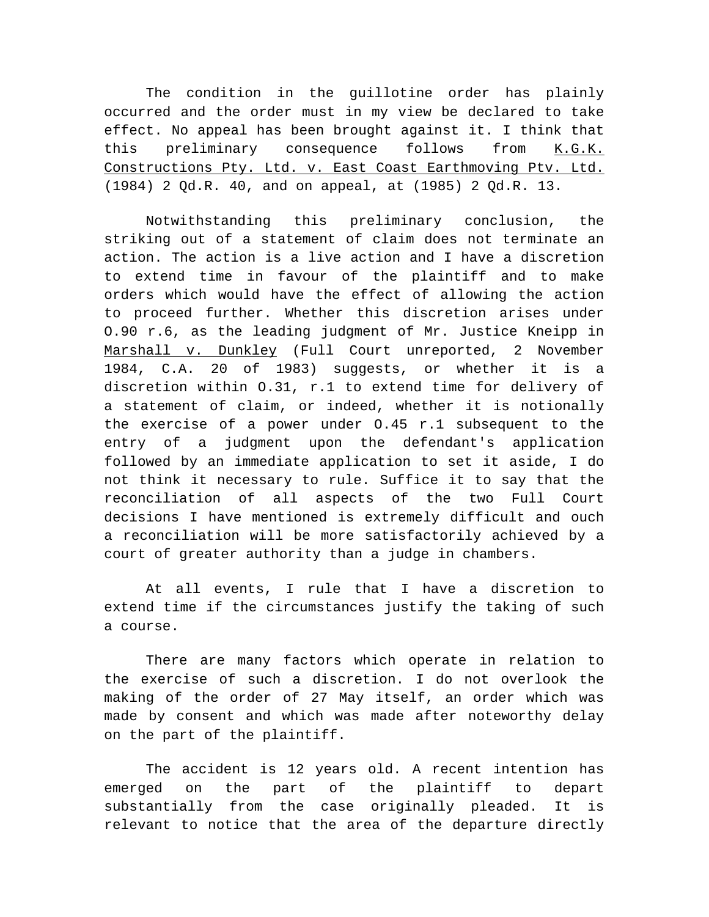The condition in the guillotine order has plainly occurred and the order must in my view be declared to take effect. No appeal has been brought against it. I think that this preliminary consequence follows from K.G.K. Constructions Pty. Ltd. v. East Coast Earthmoving Ptv. Ltd. (1984) 2 Qd.R. 40, and on appeal, at (1985) 2 Qd.R. 13.

Notwithstanding this preliminary conclusion, the striking out of a statement of claim does not terminate an action. The action is a live action and I have a discretion to extend time in favour of the plaintiff and to make orders which would have the effect of allowing the action to proceed further. Whether this discretion arises under O.90 r.6, as the leading judgment of Mr. Justice Kneipp in Marshall v. Dunkley (Full Court unreported, 2 November 1984, C.A. 20 of 1983) suggests, or whether it is a discretion within O.31, r.1 to extend time for delivery of a statement of claim, or indeed, whether it is notionally the exercise of a power under O.45 r.1 subsequent to the entry of a judgment upon the defendant's application followed by an immediate application to set it aside, I do not think it necessary to rule. Suffice it to say that the reconciliation of all aspects of the two Full Court decisions I have mentioned is extremely difficult and ouch a reconciliation will be more satisfactorily achieved by a court of greater authority than a judge in chambers.

At all events, I rule that I have a discretion to extend time if the circumstances justify the taking of such a course.

There are many factors which operate in relation to the exercise of such a discretion. I do not overlook the making of the order of 27 May itself, an order which was made by consent and which was made after noteworthy delay on the part of the plaintiff.

The accident is 12 years old. A recent intention has emerged on the part of the plaintiff to depart substantially from the case originally pleaded. It is relevant to notice that the area of the departure directly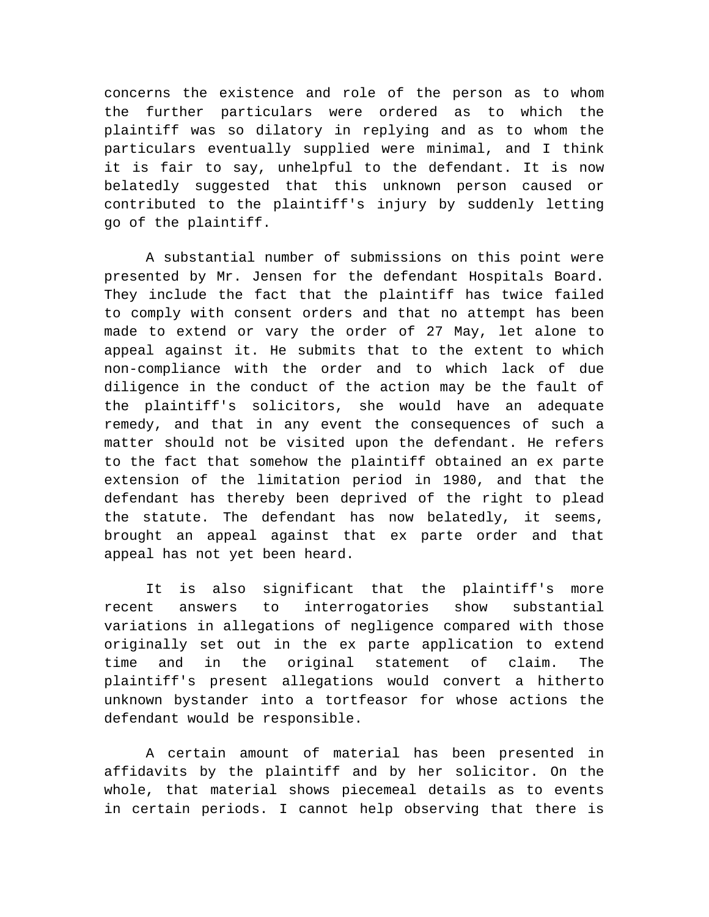concerns the existence and role of the person as to whom the further particulars were ordered as to which the plaintiff was so dilatory in replying and as to whom the particulars eventually supplied were minimal, and I think it is fair to say, unhelpful to the defendant. It is now belatedly suggested that this unknown person caused or contributed to the plaintiff's injury by suddenly letting go of the plaintiff.

A substantial number of submissions on this point were presented by Mr. Jensen for the defendant Hospitals Board. They include the fact that the plaintiff has twice failed to comply with consent orders and that no attempt has been made to extend or vary the order of 27 May, let alone to appeal against it. He submits that to the extent to which non-compliance with the order and to which lack of due diligence in the conduct of the action may be the fault of the plaintiff's solicitors, she would have an adequate remedy, and that in any event the consequences of such a matter should not be visited upon the defendant. He refers to the fact that somehow the plaintiff obtained an ex parte extension of the limitation period in 1980, and that the defendant has thereby been deprived of the right to plead the statute. The defendant has now belatedly, it seems, brought an appeal against that ex parte order and that appeal has not yet been heard.

It is also significant that the plaintiff's more recent answers to interrogatories show substantial variations in allegations of negligence compared with those originally set out in the ex parte application to extend time and in the original statement of claim. The plaintiff's present allegations would convert a hitherto unknown bystander into a tortfeasor for whose actions the defendant would be responsible.

A certain amount of material has been presented in affidavits by the plaintiff and by her solicitor. On the whole, that material shows piecemeal details as to events in certain periods. I cannot help observing that there is